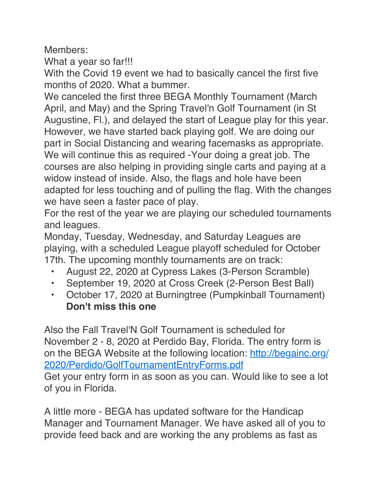Members:

What a year so far!!!

With the Covid 19 event we had to basically cancel the first five months of 2020. What a bummer.

We canceled the first three BEGA Monthly Tournament (March April, and May) and the Spring Travel'n Golf Tournament (in St Augustine, Fl.), and delayed the start of League play for this year. However, we have started back playing golf. We are doing our part in Social Distancing and wearing facemasks as appropriate. We will continue this as required -Your doing a great job. The courses are also helping in providing single carts and paying at a widow instead of inside. Also, the flags and hole have been adapted for less touching and of pulling the flag. With the changes we have seen a faster pace of play.

For the rest of the year we are playing our scheduled tournaments and leagues.

Monday, Tuesday, Wednesday, and Saturday Leagues are playing, with a scheduled League playoff scheduled for October 17th. The upcoming monthly tournaments are on track:

- August 22, 2020 at Cypress Lakes (3-Person Scramble)
- September 19, 2020 at Cross Creek (2-Person Best Ball)
- October 17, 2020 at Burningtree (Pumpkinball Tournament) **Don't miss this one**

Also the Fall Travel'N Golf Tournament is scheduled for November 2 - 8, 2020 at Perdido Bay, Florida. The entry form is on the BEGA Website at the following location: [http://begainc.org/](http://begainc.org/2020/Perdido/GolfTournamentEntryForms.pdf) [2020/Perdido/GolfTournamentEntryForms.pdf](http://begainc.org/2020/Perdido/GolfTournamentEntryForms.pdf) Get your entry form in as soon as you can. Would like to see a lot of you in Florida.

A little more - BEGA has updated software for the Handicap Manager and Tournament Manager. We have asked all of you to provide feed back and are working the any problems as fast as